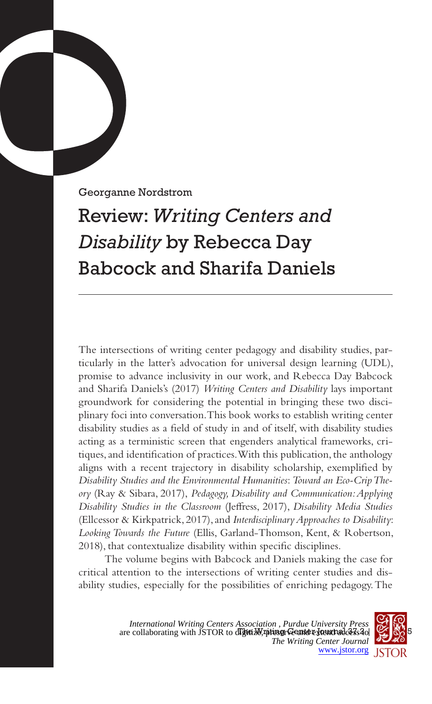Georganne Nordstrom

## Review: *Writing Centers and Disability* by Rebecca Day Babcock and Sharifa Daniels

The intersections of writing center pedagogy and disability studies, particularly in the latter's advocation for universal design learning (UDL), promise to advance inclusivity in our work, and Rebecca Day Babcock and Sharifa Daniels's (2017) *Writing Centers and Disability* lays important groundwork for considering the potential in bringing these two disciplinary foci into conversation. This book works to establish writing center disability studies as a field of study in and of itself, with disability studies acting as a terministic screen that engenders analytical frameworks, critiques, and identification of practices. With this publication, the anthology aligns with a recent trajectory in disability scholarship, exemplified by *Disability Studies and the Environmental Humanities*: *Toward an Eco-Crip Theory* (Ray & Sibara, 2017), *Pedagogy, Disability and Communication: Applying Disability Studies in the Classroom* (Jeffress, 2017), *Disability Media Studies*  (Ellcessor & Kirkpatrick, 2017), and *Interdisciplinary Approaches to Disability*: *Looking Towards the Future* (Ellis, Garland-Thomson, Kent, & Robertson, 2018), that contextualize disability within specific disciplines.

The volume begins with Babcock and Daniels making the case for critical attention to the intersections of writing center studies and disability studies, especially for the possibilities of enriching pedagogy. The

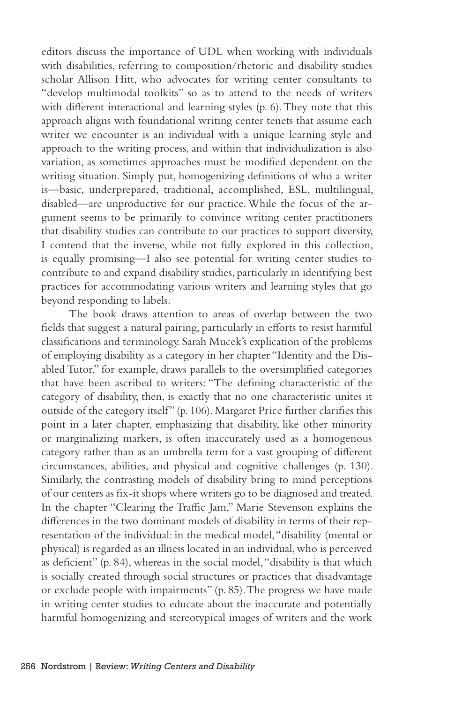editors discuss the importance of UDL when working with individuals with disabilities, referring to composition/rhetoric and disability studies scholar Allison Hitt, who advocates for writing center consultants to "develop multimodal toolkits" so as to attend to the needs of writers with different interactional and learning styles (p. 6). They note that this approach aligns with foundational writing center tenets that assume each writer we encounter is an individual with a unique learning style and approach to the writing process, and within that individualization is also variation, as sometimes approaches must be modified dependent on the writing situation. Simply put, homogenizing definitions of who a writer is—basic, underprepared, traditional, accomplished, ESL, multilingual, disabled—are unproductive for our practice. While the focus of the argument seems to be primarily to convince writing center practitioners that disability studies can contribute to our practices to support diversity, I contend that the inverse, while not fully explored in this collection, is equally promising—I also see potential for writing center studies to contribute to and expand disability studies, particularly in identifying best practices for accommodating various writers and learning styles that go beyond responding to labels.

The book draws attention to areas of overlap between the two fields that suggest a natural pairing, particularly in efforts to resist harmful classifications and terminology. Sarah Mucek's explication of the problems of employing disability as a category in her chapter "Identity and the Disabled Tutor," for example, draws parallels to the oversimplified categories that have been ascribed to writers: "The defining characteristic of the category of disability, then, is exactly that no one characteristic unites it outside of the category itself" (p. 106). Margaret Price further clarifies this point in a later chapter, emphasizing that disability, like other minority or marginalizing markers, is often inaccurately used as a homogenous category rather than as an umbrella term for a vast grouping of different circumstances, abilities, and physical and cognitive challenges (p. 130). Similarly, the contrasting models of disability bring to mind perceptions of our centers as fix-it shops where writers go to be diagnosed and treated. In the chapter "Clearing the Traffic Jam," Marie Stevenson explains the differences in the two dominant models of disability in terms of their representation of the individual: in the medical model, "disability (mental or physical) is regarded as an illness located in an individual, who is perceived as deficient" (p. 84), whereas in the social model, "disability is that which is socially created through social structures or practices that disadvantage or exclude people with impairments" (p. 85). The progress we have made in writing center studies to educate about the inaccurate and potentially harmful homogenizing and stereotypical images of writers and the work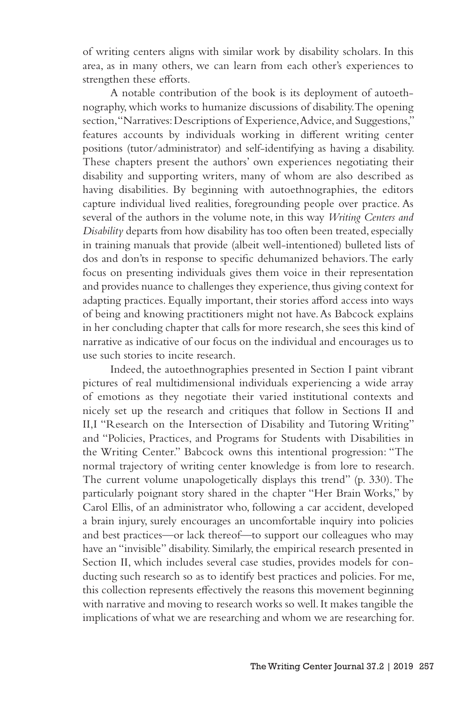of writing centers aligns with similar work by disability scholars. In this area, as in many others, we can learn from each other's experiences to strengthen these efforts.

A notable contribution of the book is its deployment of autoethnography, which works to humanize discussions of disability. The opening section, "Narratives: Descriptions of Experience, Advice, and Suggestions," features accounts by individuals working in different writing center positions (tutor/administrator) and self-identifying as having a disability. These chapters present the authors' own experiences negotiating their disability and supporting writers, many of whom are also described as having disabilities. By beginning with autoethnographies, the editors capture individual lived realities, foregrounding people over practice. As several of the authors in the volume note, in this way *Writing Centers and Disability* departs from how disability has too often been treated, especially in training manuals that provide (albeit well-intentioned) bulleted lists of dos and don'ts in response to specific dehumanized behaviors. The early focus on presenting individuals gives them voice in their representation and provides nuance to challenges they experience, thus giving context for adapting practices. Equally important, their stories afford access into ways of being and knowing practitioners might not have. As Babcock explains in her concluding chapter that calls for more research, she sees this kind of narrative as indicative of our focus on the individual and encourages us to use such stories to incite research.

Indeed, the autoethnographies presented in Section I paint vibrant pictures of real multidimensional individuals experiencing a wide array of emotions as they negotiate their varied institutional contexts and nicely set up the research and critiques that follow in Sections II and II,I "Research on the Intersection of Disability and Tutoring Writing" and "Policies, Practices, and Programs for Students with Disabilities in the Writing Center." Babcock owns this intentional progression: "The normal trajectory of writing center knowledge is from lore to research. The current volume unapologetically displays this trend" (p. 330). The particularly poignant story shared in the chapter "Her Brain Works," by Carol Ellis, of an administrator who, following a car accident, developed a brain injury, surely encourages an uncomfortable inquiry into policies and best practices—or lack thereof—to support our colleagues who may have an "invisible" disability. Similarly, the empirical research presented in Section II, which includes several case studies, provides models for conducting such research so as to identify best practices and policies. For me, this collection represents effectively the reasons this movement beginning with narrative and moving to research works so well. It makes tangible the implications of what we are researching and whom we are researching for.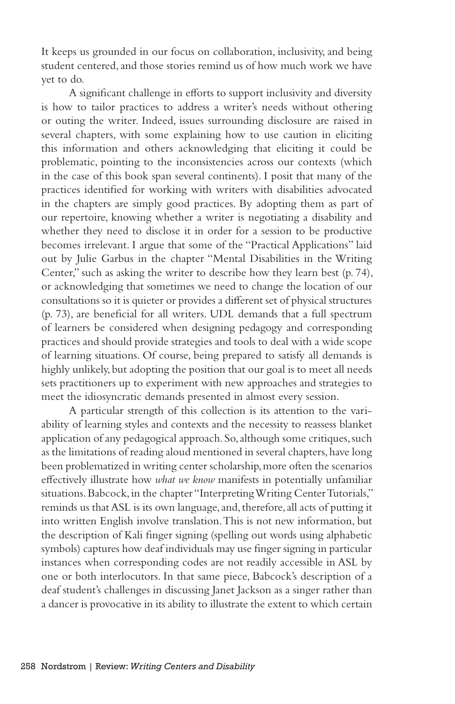It keeps us grounded in our focus on collaboration, inclusivity, and being student centered, and those stories remind us of how much work we have yet to do.

A significant challenge in efforts to support inclusivity and diversity is how to tailor practices to address a writer's needs without othering or outing the writer. Indeed, issues surrounding disclosure are raised in several chapters, with some explaining how to use caution in eliciting this information and others acknowledging that eliciting it could be problematic, pointing to the inconsistencies across our contexts (which in the case of this book span several continents). I posit that many of the practices identified for working with writers with disabilities advocated in the chapters are simply good practices. By adopting them as part of our repertoire, knowing whether a writer is negotiating a disability and whether they need to disclose it in order for a session to be productive becomes irrelevant. I argue that some of the "Practical Applications" laid out by Julie Garbus in the chapter "Mental Disabilities in the Writing Center," such as asking the writer to describe how they learn best (p. 74), or acknowledging that sometimes we need to change the location of our consultations so it is quieter or provides a different set of physical structures (p. 73), are beneficial for all writers. UDL demands that a full spectrum of learners be considered when designing pedagogy and corresponding practices and should provide strategies and tools to deal with a wide scope of learning situations. Of course, being prepared to satisfy all demands is highly unlikely, but adopting the position that our goal is to meet all needs sets practitioners up to experiment with new approaches and strategies to meet the idiosyncratic demands presented in almost every session.

A particular strength of this collection is its attention to the variability of learning styles and contexts and the necessity to reassess blanket application of any pedagogical approach. So, although some critiques, such as the limitations of reading aloud mentioned in several chapters, have long been problematized in writing center scholarship, more often the scenarios effectively illustrate how *what we know* manifests in potentially unfamiliar situations. Babcock, in the chapter "Interpreting Writing Center Tutorials," reminds us that ASL is its own language, and, therefore, all acts of putting it into written English involve translation. This is not new information, but the description of Kali finger signing (spelling out words using alphabetic symbols) captures how deaf individuals may use finger signing in particular instances when corresponding codes are not readily accessible in ASL by one or both interlocutors. In that same piece, Babcock's description of a deaf student's challenges in discussing Janet Jackson as a singer rather than a dancer is provocative in its ability to illustrate the extent to which certain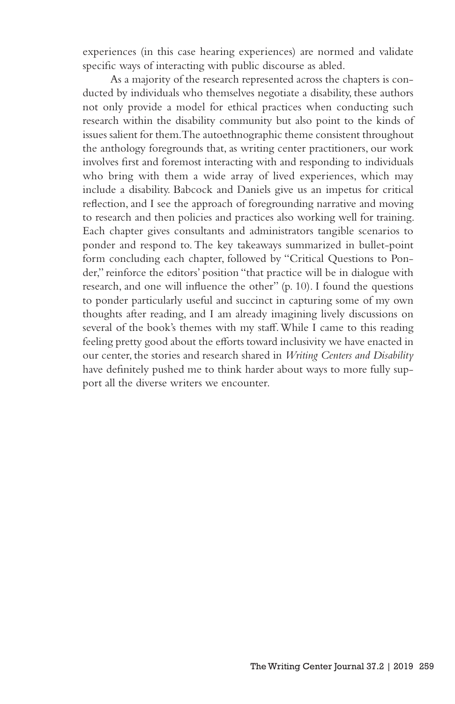experiences (in this case hearing experiences) are normed and validate specific ways of interacting with public discourse as abled.

As a majority of the research represented across the chapters is conducted by individuals who themselves negotiate a disability, these authors not only provide a model for ethical practices when conducting such research within the disability community but also point to the kinds of issues salient for them. The autoethnographic theme consistent throughout the anthology foregrounds that, as writing center practitioners, our work involves first and foremost interacting with and responding to individuals who bring with them a wide array of lived experiences, which may include a disability. Babcock and Daniels give us an impetus for critical reflection, and I see the approach of foregrounding narrative and moving to research and then policies and practices also working well for training. Each chapter gives consultants and administrators tangible scenarios to ponder and respond to. The key takeaways summarized in bullet-point form concluding each chapter, followed by "Critical Questions to Ponder," reinforce the editors' position "that practice will be in dialogue with research, and one will influence the other" (p. 10). I found the questions to ponder particularly useful and succinct in capturing some of my own thoughts after reading, and I am already imagining lively discussions on several of the book's themes with my staff. While I came to this reading feeling pretty good about the efforts toward inclusivity we have enacted in our center, the stories and research shared in *Writing Centers and Disability* have definitely pushed me to think harder about ways to more fully support all the diverse writers we encounter.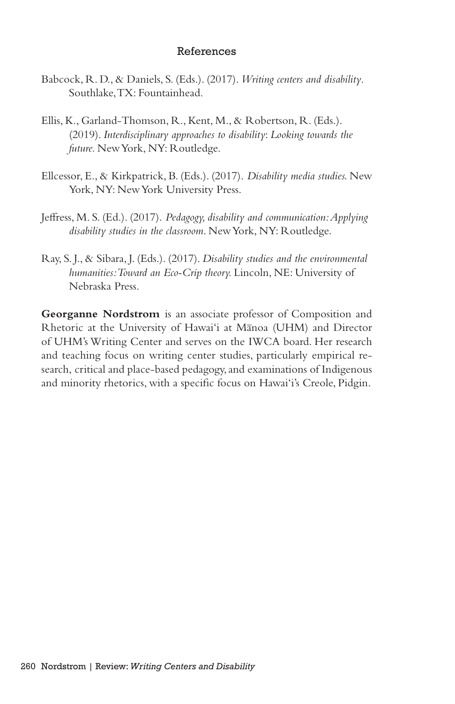## References

- Babcock, R. D., & Daniels, S. (Eds.). (2017). *Writing centers and disability*. Southlake, TX: Fountainhead.
- Ellis, K., Garland-Thomson, R., Kent, M., & Robertson, R. (Eds.). (2019). *Interdisciplinary approaches to disability*: *Looking towards the future.* New York, NY: Routledge.
- Ellcessor, E., & Kirkpatrick, B. (Eds.). (2017). *Disability media studies.* New York, NY: New York University Press.
- Jeffress, M. S. (Ed.). (2017). *Pedagogy, disability and communication: Applying disability studies in the classroom*. New York, NY: Routledge.
- Ray, S. J., & Sibara, J. (Eds.). (2017). *Disability studies and the environmental humanities: Toward an Eco-Crip theory.* Lincoln, NE: University of Nebraska Press.

**Georganne Nordstrom** is an associate professor of Composition and Rhetoric at the University of Hawai'i at Manoa (UHM) and Director of UHM's Writing Center and serves on the IWCA board. Her research and teaching focus on writing center studies, particularly empirical research, critical and place-based pedagogy, and examinations of Indigenous and minority rhetorics, with a specific focus on Hawai'i's Creole, Pidgin.